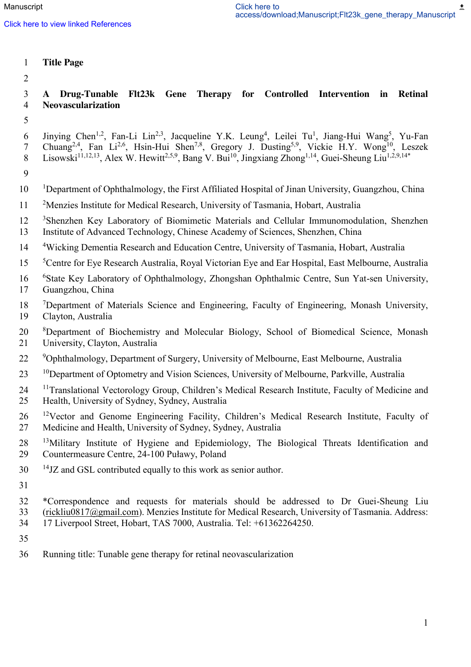### 1 **Title Page**

2

### 3 **A Drug-Tunable Flt23k Gene Therapy for Controlled Intervention in Retinal**  4 **Neovascularization**

- 5
- 6 Jinying Chen<sup>1,2</sup>, Fan-Li Lin<sup>2,3</sup>, Jacqueline Y.K. Leung<sup>4</sup>, Leilei Tu<sup>1</sup>, Jiang-Hui Wang<sup>5</sup>, Yu-Fan 7 Chuang<sup>2,4</sup>, Fan Li<sup>2,6</sup>, Hsin-Hui Shen<sup>7,8</sup>, Gregory J. Dusting<sup>5,9</sup>, Vickie H.Y. Wong<sup>10</sup>, Leszek 8 Lisowski<sup>11,12,13</sup>, Alex W. Hewitt<sup>2,5,9</sup>, Bang V. Bui<sup>10</sup>, Jingxiang Zhong<sup>1,14</sup>, Guei-Sheung Liu<sup>1,2,9,14\*</sup>
- 9
- 10 Department of Ophthalmology, the First Affiliated Hospital of Jinan University, Guangzhou, China
- 11 <sup>2</sup> Menzies Institute for Medical Research, University of Tasmania, Hobart, Australia
- <sup>3</sup> Shenzhen Key Laboratory of Biomimetic Materials and Cellular Immunomodulation, Shenzhen
- 13 Institute of Advanced Technology, Chinese Academy of Sciences, Shenzhen, China
- 14 Wicking Dementia Research and Education Centre, University of Tasmania, Hobart, Australia
- <sup>5</sup> 15 <sup>5</sup> Centre for Eye Research Australia, Royal Victorian Eye and Ear Hospital, East Melbourne, Australia
- <sup>6</sup> 16 State Key Laboratory of Ophthalmology, Zhongshan Ophthalmic Centre, Sun Yat-sen University, 17 Guangzhou, China
- <sup>7</sup> 18 Department of Materials Science and Engineering, Faculty of Engineering, Monash University, 19 Clayton, Australia
- 20 <sup>8</sup>Department of Biochemistry and Molecular Biology, School of Biomedical Science, Monash 21 University, Clayton, Australia
- <sup>9</sup> Ophthalmology, Department of Surgery, University of Melbourne, East Melbourne, Australia
- <sup>10</sup> Department of Optometry and Vision Sciences, University of Melbourne, Parkville, Australia
- 24 <sup>11</sup> Translational Vectorology Group, Children's Medical Research Institute, Faculty of Medicine and 25 Health, University of Sydney, Sydney, Australia
- 26 <sup>12</sup>Vector and Genome Engineering Facility, Children's Medical Research Institute, Faculty of 27 Medicine and Health, University of Sydney, Sydney, Australia
- 28 <sup>13</sup>Military Institute of Hygiene and Epidemiology, The Biological Threats Identification and 29 Countermeasure Centre, 24-100 Puławy, Poland
- $14$ <sup>14</sup> JZ and GSL contributed equally to this work as senior author.
- 31
- 32 \*Correspondence and requests for materials should be addressed to Dr Guei-Sheung Liu 33 [\(rickliu0817@gmail.com\)](mailto:rickliu0817@gmail.com). Menzies Institute for Medical Research, University of Tasmania. Address: 34 17 Liverpool Street, Hobart, TAS 7000, Australia. Tel: +61362264250.
- 35
- 36 Running title: Tunable gene therapy for retinal neovascularization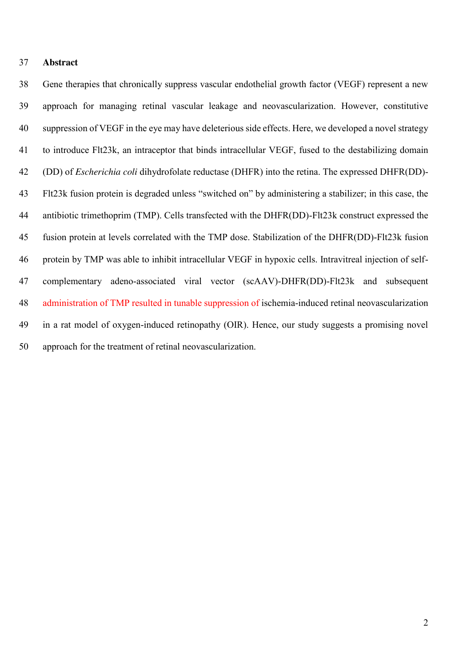#### **Abstract**

 Gene therapies that chronically suppress vascular endothelial growth factor (VEGF) represent a new approach for managing retinal vascular leakage and neovascularization. However, constitutive suppression of VEGF in the eye may have deleterious side effects. Here, we developed a novel strategy to introduce Flt23k, an intraceptor that binds intracellular VEGF, fused to the destabilizing domain (DD) of *Escherichia coli* dihydrofolate reductase (DHFR) into the retina. The expressed DHFR(DD)- Flt23k fusion protein is degraded unless "switched on" by administering a stabilizer; in this case, the antibiotic trimethoprim (TMP). Cells transfected with the DHFR(DD)-Flt23k construct expressed the fusion protein at levels correlated with the TMP dose. Stabilization of the DHFR(DD)-Flt23k fusion protein by TMP was able to inhibit intracellular VEGF in hypoxic cells. Intravitreal injection of self- complementary adeno-associated viral vector (scAAV)-DHFR(DD)-Flt23k and subsequent administration of TMP resulted in tunable suppression of ischemia-induced retinal neovascularization in a rat model of oxygen-induced retinopathy (OIR). Hence, our study suggests a promising novel approach for the treatment of retinal neovascularization.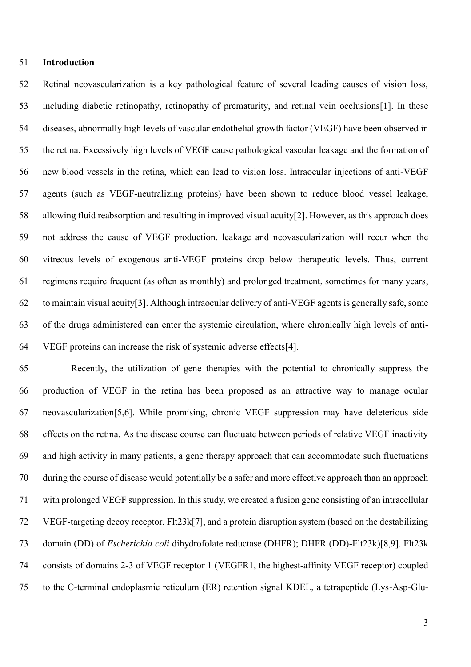### **Introduction**

 Retinal neovascularization is a key pathological feature of several leading causes of vision loss, including diabetic retinopathy, retinopathy of prematurity, and retinal vein occlusions[1]. In these diseases, abnormally high levels of vascular endothelial growth factor (VEGF) have been observed in the retina. Excessively high levels of VEGF cause pathological vascular leakage and the formation of new blood vessels in the retina, which can lead to vision loss. Intraocular injections of anti-VEGF agents (such as VEGF-neutralizing proteins) have been shown to reduce blood vessel leakage, allowing fluid reabsorption and resulting in improved visual acuity[2]. However, as this approach does not address the cause of VEGF production, leakage and neovascularization will recur when the vitreous levels of exogenous anti-VEGF proteins drop below therapeutic levels. Thus, current regimens require frequent (as often as monthly) and prolonged treatment, sometimes for many years, to maintain visual acuity[3]. Although intraocular delivery of anti-VEGF agents is generally safe, some of the drugs administered can enter the systemic circulation, where chronically high levels of anti-VEGF proteins can increase the risk of systemic adverse effects[4].

 Recently, the utilization of gene therapies with the potential to chronically suppress the production of VEGF in the retina has been proposed as an attractive way to manage ocular neovascularization[5,6]. While promising, chronic VEGF suppression may have deleterious side effects on the retina. As the disease course can fluctuate between periods of relative VEGF inactivity and high activity in many patients, a gene therapy approach that can accommodate such fluctuations during the course of disease would potentially be a safer and more effective approach than an approach with prolonged VEGF suppression. In this study, we created a fusion gene consisting of an intracellular VEGF-targeting decoy receptor, Flt23k[7], and a protein disruption system (based on the destabilizing domain (DD) of *Escherichia coli* dihydrofolate reductase (DHFR); DHFR (DD)-Flt23k)[8,9]. Flt23k consists of domains 2-3 of VEGF receptor 1 (VEGFR1, the highest-affinity VEGF receptor) coupled to the C-terminal endoplasmic reticulum (ER) retention signal KDEL, a tetrapeptide (Lys-Asp-Glu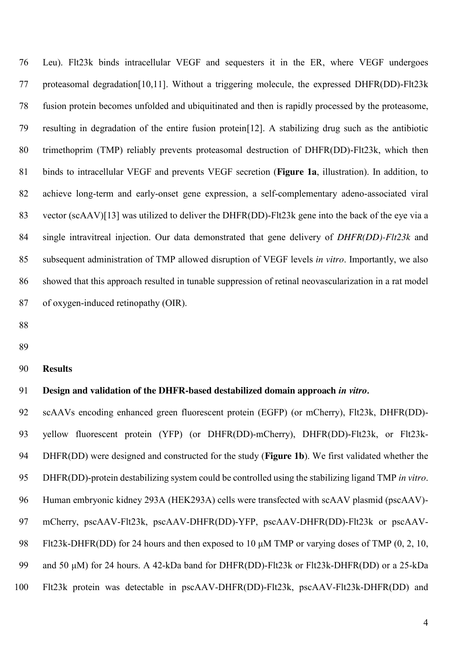Leu). Flt23k binds intracellular VEGF and sequesters it in the ER, where VEGF undergoes proteasomal degradation[10,11]. Without a triggering molecule, the expressed DHFR(DD)-Flt23k fusion protein becomes unfolded and ubiquitinated and then is rapidly processed by the proteasome, resulting in degradation of the entire fusion protein[12]. A stabilizing drug such as the antibiotic trimethoprim (TMP) reliably prevents proteasomal destruction of DHFR(DD)-Flt23k, which then binds to intracellular VEGF and prevents VEGF secretion (**Figure 1a**, illustration). In addition, to achieve long-term and early-onset gene expression, a self-complementary adeno-associated viral vector (scAAV)[13] was utilized to deliver the DHFR(DD)-Flt23k gene into the back of the eye via a single intravitreal injection. Our data demonstrated that gene delivery of *DHFR(DD)-Flt23k* and subsequent administration of TMP allowed disruption of VEGF levels *in vitro*. Importantly, we also showed that this approach resulted in tunable suppression of retinal neovascularization in a rat model of oxygen-induced retinopathy (OIR).

- 
- 

#### **Results**

### **Design and validation of the DHFR-based destabilized domain approach** *in vitro.*

 scAAVs encoding enhanced green fluorescent protein (EGFP) (or mCherry), Flt23k, DHFR(DD)- yellow fluorescent protein (YFP) (or DHFR(DD)-mCherry), DHFR(DD)-Flt23k, or Flt23k- DHFR(DD) were designed and constructed for the study (**Figure 1b**). We first validated whether the DHFR(DD)-protein destabilizing system could be controlled using the stabilizing ligand TMP *in vitro*. Human embryonic kidney 293A (HEK293A) cells were transfected with scAAV plasmid (pscAAV)- mCherry, pscAAV-Flt23k, pscAAV-DHFR(DD)-YFP, pscAAV-DHFR(DD)-Flt23k or pscAAV- Flt23k-DHFR(DD) for 24 hours and then exposed to 10 μM TMP or varying doses of TMP (0, 2, 10, and 50 μM) for 24 hours. A 42-kDa band for DHFR(DD)-Flt23k or Flt23k-DHFR(DD) or a 25-kDa Flt23k protein was detectable in pscAAV-DHFR(DD)-Flt23k, pscAAV-Flt23k-DHFR(DD) and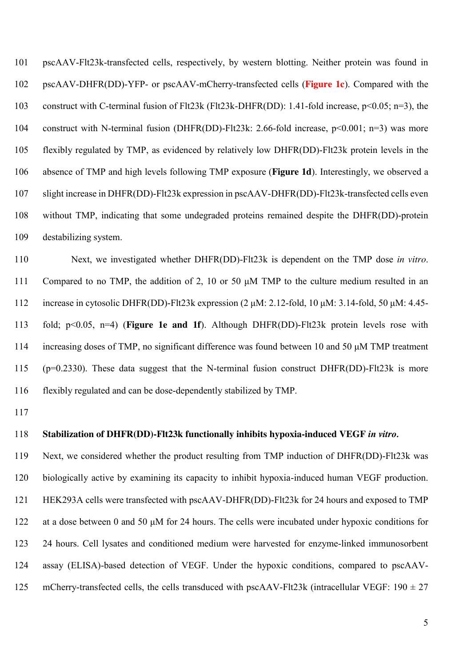pscAAV-Flt23k-transfected cells, respectively, by western blotting. Neither protein was found in pscAAV-DHFR(DD)-YFP- or pscAAV-mCherry-transfected cells (**Figure 1c**). Compared with the construct with C-terminal fusion of Flt23k (Flt23k-DHFR(DD): 1.41-fold increase, p<0.05; n=3), the construct with N-terminal fusion (DHFR(DD)-Flt23k: 2.66-fold increase, p<0.001; n=3) was more flexibly regulated by TMP, as evidenced by relatively low DHFR(DD)-Flt23k protein levels in the absence of TMP and high levels following TMP exposure (**Figure 1d**). Interestingly, we observed a slight increase in DHFR(DD)-Flt23k expression in pscAAV-DHFR(DD)-Flt23k-transfected cells even without TMP, indicating that some undegraded proteins remained despite the DHFR(DD)-protein destabilizing system.

 Next, we investigated whether DHFR(DD)-Flt23k is dependent on the TMP dose *in vitro*. Compared to no TMP, the addition of 2, 10 or 50 μM TMP to the culture medium resulted in an increase in cytosolic DHFR(DD)-Flt23k expression (2 μM: 2.12-fold, 10 μM: 3.14-fold, 50 μM: 4.45- fold; p<0.05, n=4) (**Figure 1e and 1f**). Although DHFR(DD)-Flt23k protein levels rose with increasing doses of TMP, no significant difference was found between 10 and 50 μM TMP treatment (p=0.2330). These data suggest that the N-terminal fusion construct DHFR(DD)-Flt23k is more flexibly regulated and can be dose-dependently stabilized by TMP.

### **Stabilization of DHFR(DD)-Flt23k functionally inhibits hypoxia-induced VEGF** *in vitro.*

 Next, we considered whether the product resulting from TMP induction of DHFR(DD)-Flt23k was biologically active by examining its capacity to inhibit hypoxia-induced human VEGF production. HEK293A cells were transfected with pscAAV-DHFR(DD)-Flt23k for 24 hours and exposed to TMP at a dose between 0 and 50 μM for 24 hours. The cells were incubated under hypoxic conditions for 24 hours. Cell lysates and conditioned medium were harvested for enzyme-linked immunosorbent assay (ELISA)-based detection of VEGF. Under the hypoxic conditions, compared to pscAAV-125 mCherry-transfected cells, the cells transduced with pscAAV-Flt23k (intracellular VEGF:  $190 \pm 27$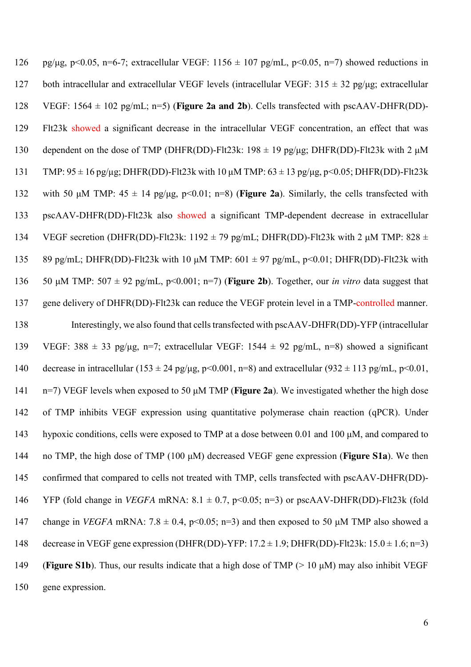| 126 | pg/µg, p<0.05, n=6-7; extracellular VEGF: $1156 \pm 107$ pg/mL, p<0.05, n=7) showed reductions in                      |
|-----|------------------------------------------------------------------------------------------------------------------------|
| 127 | both intracellular and extracellular VEGF levels (intracellular VEGF: $315 \pm 32$ pg/µg; extracellular                |
| 128 | VEGF: $1564 \pm 102$ pg/mL; n=5) (Figure 2a and 2b). Cells transfected with pscAAV-DHFR(DD)-                           |
| 129 | Flt23k showed a significant decrease in the intracellular VEGF concentration, an effect that was                       |
| 130 | dependent on the dose of TMP (DHFR(DD)-Flt23k: 198 $\pm$ 19 pg/µg; DHFR(DD)-Flt23k with 2 µM                           |
| 131 | TMP: $95 \pm 16$ pg/µg; DHFR(DD)-Flt23k with 10 µM TMP: $63 \pm 13$ pg/µg, p<0.05; DHFR(DD)-Flt23k                     |
| 132 | with 50 $\mu$ M TMP: 45 $\pm$ 14 pg/ $\mu$ g, p<0.01; n=8) ( <b>Figure 2a</b> ). Similarly, the cells transfected with |
| 133 | pscAAV-DHFR(DD)-Flt23k also showed a significant TMP-dependent decrease in extracellular                               |
| 134 | VEGF secretion (DHFR(DD)-Flt23k: 1192 $\pm$ 79 pg/mL; DHFR(DD)-Flt23k with 2 µM TMP: 828 $\pm$                         |
| 135 | 89 pg/mL; DHFR(DD)-Flt23k with 10 $\mu$ M TMP: 601 $\pm$ 97 pg/mL, p<0.01; DHFR(DD)-Flt23k with                        |
| 136 | 50 µM TMP: 507 $\pm$ 92 pg/mL, p<0.001; n=7) (Figure 2b). Together, our <i>in vitro</i> data suggest that              |
| 137 | gene delivery of DHFR(DD)-Flt23k can reduce the VEGF protein level in a TMP-controlled manner.                         |
| 138 | Interestingly, we also found that cells transfected with pscAAV-DHFR(DD)-YFP (intracellular                            |
| 139 | VEGF: 388 $\pm$ 33 pg/µg, n=7; extracellular VEGF: 1544 $\pm$ 92 pg/mL, n=8) showed a significant                      |
| 140 | decrease in intracellular (153 ± 24 pg/µg, p<0.001, n=8) and extracellular (932 ± 113 pg/mL, p<0.01,                   |
| 141 | $n=7$ ) VEGF levels when exposed to 50 $\mu$ M TMP ( <b>Figure 2a</b> ). We investigated whether the high dose         |
| 142 | of TMP inhibits VEGF expression using quantitative polymerase chain reaction (qPCR). Under                             |
| 143 | hypoxic conditions, cells were exposed to TMP at a dose between 0.01 and 100 μM, and compared to                       |
| 144 | no TMP, the high dose of TMP (100 $\mu$ M) decreased VEGF gene expression ( <b>Figure S1a</b> ). We then               |
| 145 | confirmed that compared to cells not treated with TMP, cells transfected with pscAAV-DHFR(DD)-                         |
| 146 | YFP (fold change in <i>VEGFA</i> mRNA: $8.1 \pm 0.7$ , $p<0.05$ ; $n=3$ ) or $pscAAV-DHFR(DD)$ -Flt23k (fold           |
| 147 | change in <i>VEGFA</i> mRNA: $7.8 \pm 0.4$ , $p<0.05$ ; $n=3$ ) and then exposed to 50 $\mu$ M TMP also showed a       |
| 148 | decrease in VEGF gene expression (DHFR(DD)-YFP: $17.2 \pm 1.9$ ; DHFR(DD)-Flt23k: $15.0 \pm 1.6$ ; n=3)                |
| 149 | (Figure S1b). Thus, our results indicate that a high dose of TMP $(> 10 \mu M)$ may also inhibit VEGF                  |
| 150 | gene expression.                                                                                                       |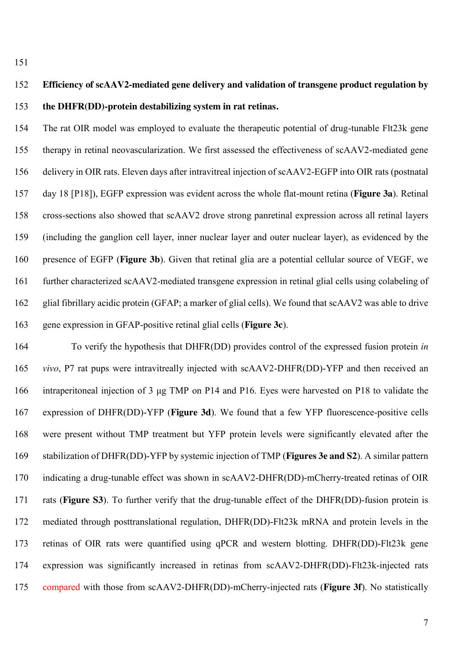# **Efficiency of scAAV2-mediated gene delivery and validation of transgene product regulation by the DHFR(DD)-protein destabilizing system in rat retinas.**

 The rat OIR model was employed to evaluate the therapeutic potential of drug-tunable Flt23k gene therapy in retinal neovascularization. We first assessed the effectiveness of scAAV2-mediated gene delivery in OIR rats. Eleven days after intravitreal injection of scAAV2-EGFP into OIR rats (postnatal day 18 [P18]), EGFP expression was evident across the whole flat-mount retina (**Figure 3a**). Retinal cross-sections also showed that scAAV2 drove strong panretinal expression across all retinal layers (including the ganglion cell layer, inner nuclear layer and outer nuclear layer), as evidenced by the presence of EGFP (**Figure 3b**). Given that retinal glia are a potential cellular source of VEGF, we further characterized scAAV2-mediated transgene expression in retinal glial cells using colabeling of glial fibrillary acidic protein (GFAP; a marker of glial cells). We found that scAAV2 was able to drive gene expression in GFAP-positive retinal glial cells (**Figure 3c**).

 To verify the hypothesis that DHFR(DD) provides control of the expressed fusion protein *in vivo*, P7 rat pups were intravitreally injected with scAAV2-DHFR(DD)-YFP and then received an intraperitoneal injection of 3 μg TMP on P14 and P16. Eyes were harvested on P18 to validate the expression of DHFR(DD)-YFP (**Figure 3d**). We found that a few YFP fluorescence-positive cells were present without TMP treatment but YFP protein levels were significantly elevated after the stabilization of DHFR(DD)-YFP by systemic injection of TMP (**Figures 3e and S2**). A similar pattern indicating a drug-tunable effect was shown in scAAV2-DHFR(DD)-mCherry-treated retinas of OIR rats (**Figure S3**). To further verify that the drug-tunable effect of the DHFR(DD)-fusion protein is mediated through posttranslational regulation, DHFR(DD)-Flt23k mRNA and protein levels in the retinas of OIR rats were quantified using qPCR and western blotting. DHFR(DD)-Flt23k gene expression was significantly increased in retinas from scAAV2-DHFR(DD)-Flt23k-injected rats compared with those from scAAV2-DHFR(DD)-mCherry-injected rats (**Figure 3f**). No statistically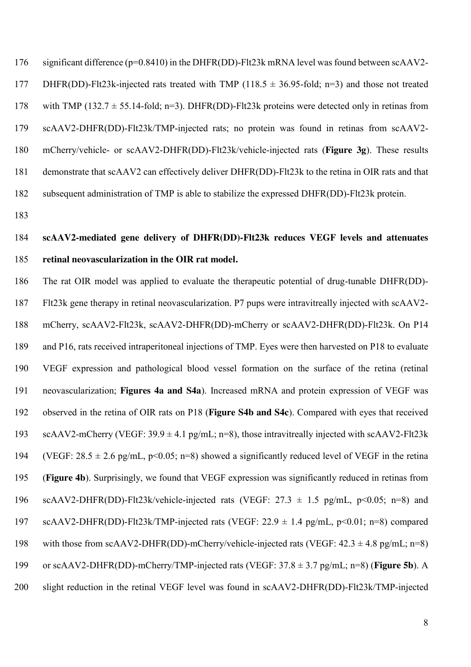significant difference (p=0.8410) in the DHFR(DD)-Flt23k mRNA level was found between scAAV2- 177 DHFR(DD)-Flt23k-injected rats treated with TMP (118.5  $\pm$  36.95-fold; n=3) and those not treated 178 with TMP (132.7  $\pm$  55.14-fold; n=3). DHFR(DD)-Flt23k proteins were detected only in retinas from scAAV2-DHFR(DD)-Flt23k/TMP-injected rats; no protein was found in retinas from scAAV2- mCherry/vehicle- or scAAV2-DHFR(DD)-Flt23k/vehicle-injected rats (**Figure 3g**). These results demonstrate that scAAV2 can effectively deliver DHFR(DD)-Flt23k to the retina in OIR rats and that subsequent administration of TMP is able to stabilize the expressed DHFR(DD)-Flt23k protein.

# **scAAV2-mediated gene delivery of DHFR(DD)-Flt23k reduces VEGF levels and attenuates retinal neovascularization in the OIR rat model.**

 The rat OIR model was applied to evaluate the therapeutic potential of drug-tunable DHFR(DD)- Flt23k gene therapy in retinal neovascularization. P7 pups were intravitreally injected with scAAV2- mCherry, scAAV2-Flt23k, scAAV2-DHFR(DD)-mCherry or scAAV2-DHFR(DD)-Flt23k. On P14 and P16, rats received intraperitoneal injections of TMP. Eyes were then harvested on P18 to evaluate VEGF expression and pathological blood vessel formation on the surface of the retina (retinal neovascularization; **Figures 4a and S4a**). Increased mRNA and protein expression of VEGF was observed in the retina of OIR rats on P18 (**Figure S4b and S4c**). Compared with eyes that received 193 scAAV2-mCherry (VEGF:  $39.9 \pm 4.1$  pg/mL; n=8), those intravitreally injected with scAAV2-Flt23k 194 (VEGF:  $28.5 \pm 2.6$  pg/mL, p<0.05; n=8) showed a significantly reduced level of VEGF in the retina (**Figure 4b**). Surprisingly, we found that VEGF expression was significantly reduced in retinas from 196 scAAV2-DHFR(DD)-Flt23k/vehicle-injected rats (VEGF:  $27.3 \pm 1.5$  pg/mL, p<0.05; n=8) and scAAV2-DHFR(DD)-Flt23k/TMP-injected rats (VEGF: 22.9 ± 1.4 pg/mL, p<0.01; n=8) compared 198 with those from scAAV2-DHFR(DD)-mCherry/vehicle-injected rats (VEGF:  $42.3 \pm 4.8$  pg/mL; n=8) or scAAV2-DHFR(DD)-mCherry/TMP-injected rats (VEGF: 37.8 ± 3.7 pg/mL; n=8) (**Figure 5b**). A slight reduction in the retinal VEGF level was found in scAAV2-DHFR(DD)-Flt23k/TMP-injected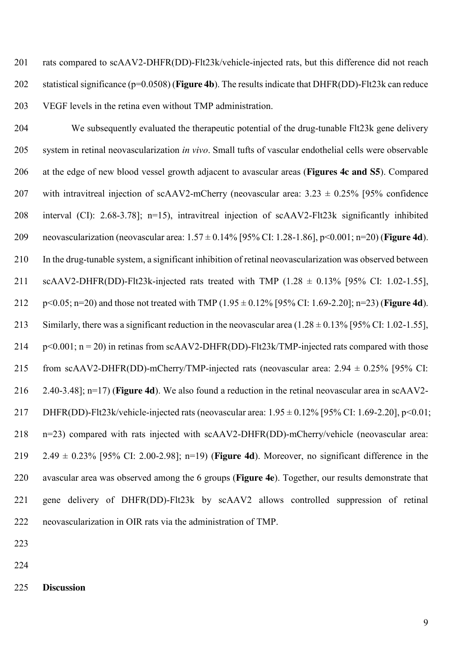rats compared to scAAV2-DHFR(DD)-Flt23k/vehicle-injected rats, but this difference did not reach statistical significance (p=0.0508) (**Figure 4b**). The results indicate that DHFR(DD)-Flt23k can reduce VEGF levels in the retina even without TMP administration.

 We subsequently evaluated the therapeutic potential of the drug-tunable Flt23k gene delivery system in retinal neovascularization *in vivo*. Small tufts of vascular endothelial cells were observable at the edge of new blood vessel growth adjacent to avascular areas (**Figures 4c and S5**). Compared 207 with intravitreal injection of scAAV2-mCherry (neovascular area:  $3.23 \pm 0.25\%$  [95% confidence interval (CI): 2.68-3.78]; n=15), intravitreal injection of scAAV2-Flt23k significantly inhibited neovascularization (neovascular area: 1.57 ± 0.14% [95% CI: 1.28-1.86], p<0.001; n=20) (**Figure 4d**). In the drug-tunable system, a significant inhibition of retinal neovascularization was observed between 211 scAAV2-DHFR(DD)-Flt23k-injected rats treated with TMP  $(1.28 \pm 0.13\%)$  [95% CI: 1.02-1.55], p<0.05; n=20) and those not treated with TMP (1.95 ± 0.12% [95% CI: 1.69-2.20]; n=23) (**Figure 4d**). 213 Similarly, there was a significant reduction in the neovascular area  $(1.28 \pm 0.13\%$  [95% CI: 1.02-1.55], 214 p<0.001;  $n = 20$ ) in retinas from scAAV2-DHFR(DD)-Flt23k/TMP-injected rats compared with those 215 from scAAV2-DHFR(DD)-mCherry/TMP-injected rats (neovascular area:  $2.94 \pm 0.25\%$  [95% CI: 2.40-3.48]; n=17) (**Figure 4d**). We also found a reduction in the retinal neovascular area in scAAV2- DHFR(DD)-Flt23k/vehicle-injected rats (neovascular area: 1.95 ± 0.12% [95% CI: 1.69-2.20], p<0.01; n=23) compared with rats injected with scAAV2-DHFR(DD)-mCherry/vehicle (neovascular area: 2.49 ± 0.23% [95% CI: 2.00-2.98]; n=19) (**Figure 4d**). Moreover, no significant difference in the avascular area was observed among the 6 groups (**Figure 4e**). Together, our results demonstrate that gene delivery of DHFR(DD)-Flt23k by scAAV2 allows controlled suppression of retinal neovascularization in OIR rats via the administration of TMP.

- 
- 
- **Discussion**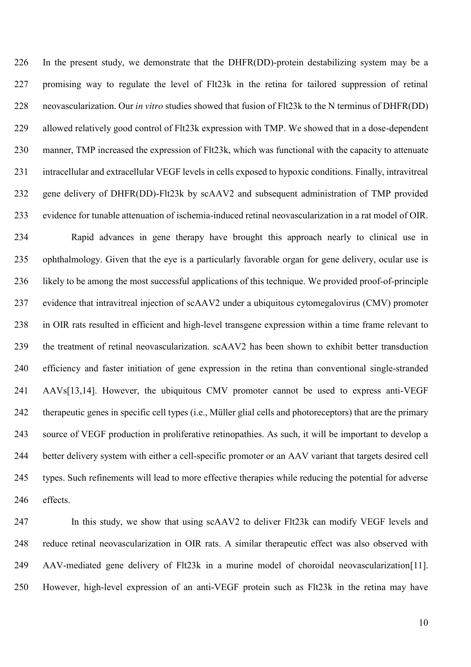In the present study, we demonstrate that the DHFR(DD)-protein destabilizing system may be a promising way to regulate the level of Flt23k in the retina for tailored suppression of retinal neovascularization. Our *in vitro* studies showed that fusion of Flt23k to the N terminus of DHFR(DD) allowed relatively good control of Flt23k expression with TMP. We showed that in a dose-dependent manner, TMP increased the expression of Flt23k, which was functional with the capacity to attenuate intracellular and extracellular VEGF levels in cells exposed to hypoxic conditions. Finally, intravitreal gene delivery of DHFR(DD)-Flt23k by scAAV2 and subsequent administration of TMP provided evidence for tunable attenuation of ischemia-induced retinal neovascularization in a rat model of OIR. Rapid advances in gene therapy have brought this approach nearly to clinical use in ophthalmology. Given that the eye is a particularly favorable organ for gene delivery, ocular use is likely to be among the most successful applications of this technique. We provided proof-of-principle evidence that intravitreal injection of scAAV2 under a ubiquitous cytomegalovirus (CMV) promoter in OIR rats resulted in efficient and high-level transgene expression within a time frame relevant to the treatment of retinal neovascularization. scAAV2 has been shown to exhibit better transduction efficiency and faster initiation of gene expression in the retina than conventional single-stranded AAVs[13,14]. However, the ubiquitous CMV promoter cannot be used to express anti-VEGF therapeutic genes in specific cell types (i.e., Müller glial cells and photoreceptors) that are the primary source of VEGF production in proliferative retinopathies. As such, it will be important to develop a better delivery system with either a cell-specific promoter or an AAV variant that targets desired cell types. Such refinements will lead to more effective therapies while reducing the potential for adverse effects.

 In this study, we show that using scAAV2 to deliver Flt23k can modify VEGF levels and reduce retinal neovascularization in OIR rats. A similar therapeutic effect was also observed with AAV-mediated gene delivery of Flt23k in a murine model of choroidal neovascularization[11]. However, high-level expression of an anti-VEGF protein such as Flt23k in the retina may have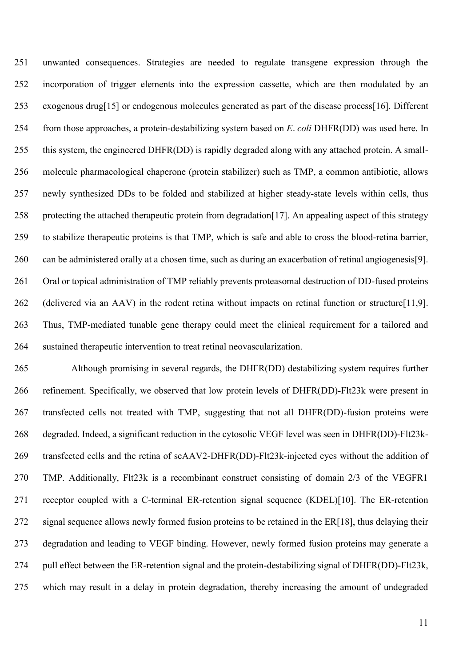unwanted consequences. Strategies are needed to regulate transgene expression through the incorporation of trigger elements into the expression cassette, which are then modulated by an exogenous drug[15] or endogenous molecules generated as part of the disease process[16]. Different from those approaches, a protein-destabilizing system based on *E. coli* DHFR(DD) was used here. In this system, the engineered DHFR(DD) is rapidly degraded along with any attached protein. A small- molecule pharmacological chaperone (protein stabilizer) such as TMP, a common antibiotic, allows newly synthesized DDs to be folded and stabilized at higher steady-state levels within cells, thus 258 protecting the attached therapeutic protein from degradation [17]. An appealing aspect of this strategy to stabilize therapeutic proteins is that TMP, which is safe and able to cross the blood-retina barrier, can be administered orally at a chosen time, such as during an exacerbation of retinal angiogenesis[9]. Oral or topical administration of TMP reliably prevents proteasomal destruction of DD-fused proteins (delivered via an AAV) in the rodent retina without impacts on retinal function or structure[11,9]. Thus, TMP-mediated tunable gene therapy could meet the clinical requirement for a tailored and sustained therapeutic intervention to treat retinal neovascularization.

 Although promising in several regards, the DHFR(DD) destabilizing system requires further refinement. Specifically, we observed that low protein levels of DHFR(DD)-Flt23k were present in transfected cells not treated with TMP, suggesting that not all DHFR(DD)-fusion proteins were degraded. Indeed, a significant reduction in the cytosolic VEGF level was seen in DHFR(DD)-Flt23k- transfected cells and the retina of scAAV2-DHFR(DD)-Flt23k-injected eyes without the addition of TMP. Additionally, Flt23k is a recombinant construct consisting of domain 2/3 of the VEGFR1 receptor coupled with a C-terminal ER-retention signal sequence (KDEL)[10]. The ER-retention 272 signal sequence allows newly formed fusion proteins to be retained in the ER[18], thus delaying their degradation and leading to VEGF binding. However, newly formed fusion proteins may generate a pull effect between the ER-retention signal and the protein-destabilizing signal of DHFR(DD)-Flt23k, which may result in a delay in protein degradation, thereby increasing the amount of undegraded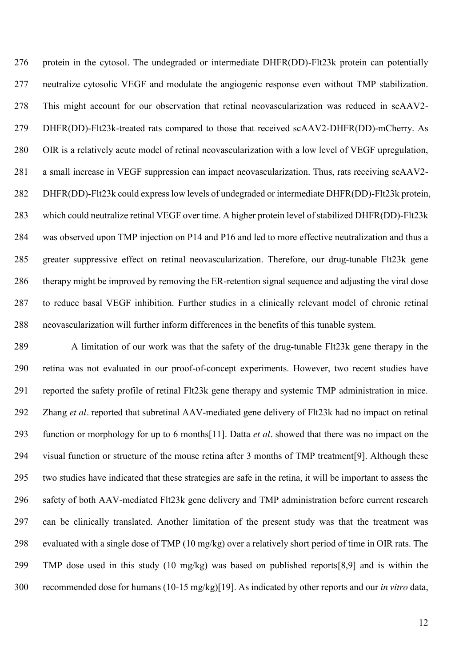protein in the cytosol. The undegraded or intermediate DHFR(DD)-Flt23k protein can potentially neutralize cytosolic VEGF and modulate the angiogenic response even without TMP stabilization. This might account for our observation that retinal neovascularization was reduced in scAAV2- DHFR(DD)-Flt23k-treated rats compared to those that received scAAV2-DHFR(DD)-mCherry. As OIR is a relatively acute model of retinal neovascularization with a low level of VEGF upregulation, a small increase in VEGF suppression can impact neovascularization. Thus, rats receiving scAAV2- DHFR(DD)-Flt23k could express low levels of undegraded or intermediate DHFR(DD)-Flt23k protein, which could neutralize retinal VEGF over time. A higher protein level of stabilized DHFR(DD)-Flt23k was observed upon TMP injection on P14 and P16 and led to more effective neutralization and thus a greater suppressive effect on retinal neovascularization. Therefore, our drug-tunable Flt23k gene therapy might be improved by removing the ER-retention signal sequence and adjusting the viral dose to reduce basal VEGF inhibition. Further studies in a clinically relevant model of chronic retinal neovascularization will further inform differences in the benefits of this tunable system.

 A limitation of our work was that the safety of the drug-tunable Flt23k gene therapy in the retina was not evaluated in our proof-of-concept experiments. However, two recent studies have reported the safety profile of retinal Flt23k gene therapy and systemic TMP administration in mice. Zhang *et al.* reported that subretinal AAV-mediated gene delivery of Flt23k had no impact on retinal function or morphology for up to 6 months[11]. Datta *et al.* showed that there was no impact on the visual function or structure of the mouse retina after 3 months of TMP treatment[9]. Although these two studies have indicated that these strategies are safe in the retina, it will be important to assess the safety of both AAV-mediated Flt23k gene delivery and TMP administration before current research can be clinically translated. Another limitation of the present study was that the treatment was evaluated with a single dose of TMP (10 mg/kg) over a relatively short period of time in OIR rats. The TMP dose used in this study (10 mg/kg) was based on published reports[8,9] and is within the recommended dose for humans (10-15 mg/kg)[19]. As indicated by other reports and our *in vitro* data,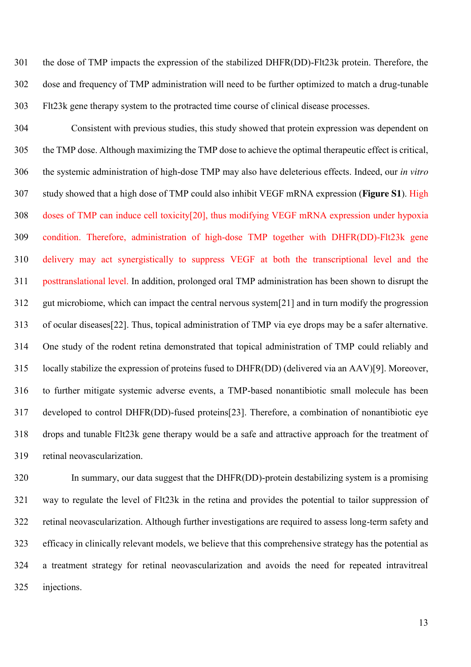the dose of TMP impacts the expression of the stabilized DHFR(DD)-Flt23k protein. Therefore, the dose and frequency of TMP administration will need to be further optimized to match a drug-tunable Flt23k gene therapy system to the protracted time course of clinical disease processes.

 Consistent with previous studies, this study showed that protein expression was dependent on the TMP dose. Although maximizing the TMP dose to achieve the optimal therapeutic effect is critical, the systemic administration of high-dose TMP may also have deleterious effects. Indeed, our *in vitro* study showed that a high dose of TMP could also inhibit VEGF mRNA expression (**Figure S1**). High doses of TMP can induce cell toxicity[20], thus modifying VEGF mRNA expression under hypoxia condition. Therefore, administration of high-dose TMP together with DHFR(DD)-Flt23k gene delivery may act synergistically to suppress VEGF at both the transcriptional level and the posttranslational level. In addition, prolonged oral TMP administration has been shown to disrupt the gut microbiome, which can impact the central nervous system[21] and in turn modify the progression of ocular diseases[22]. Thus, topical administration of TMP via eye drops may be a safer alternative. One study of the rodent retina demonstrated that topical administration of TMP could reliably and locally stabilize the expression of proteins fused to DHFR(DD) (delivered via an AAV)[9]. Moreover, to further mitigate systemic adverse events, a TMP-based nonantibiotic small molecule has been developed to control DHFR(DD)-fused proteins[23]. Therefore, a combination of nonantibiotic eye drops and tunable Flt23k gene therapy would be a safe and attractive approach for the treatment of retinal neovascularization.

 In summary, our data suggest that the DHFR(DD)-protein destabilizing system is a promising way to regulate the level of Flt23k in the retina and provides the potential to tailor suppression of retinal neovascularization. Although further investigations are required to assess long-term safety and efficacy in clinically relevant models, we believe that this comprehensive strategy has the potential as a treatment strategy for retinal neovascularization and avoids the need for repeated intravitreal injections.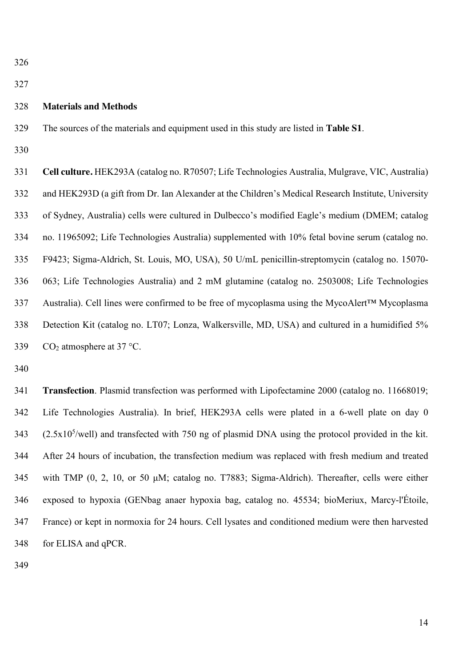### **Materials and Methods**

The sources of the materials and equipment used in this study are listed in **Table S1**.

 **Cell culture.** HEK293A (catalog no. R70507; Life Technologies Australia, Mulgrave, VIC, Australia) and HEK293D (a gift from Dr. Ian Alexander at the Children's Medical Research Institute, University of Sydney, Australia) cells were cultured in Dulbecco's modified Eagle's medium (DMEM; catalog no. 11965092; Life Technologies Australia) supplemented with 10% fetal bovine serum (catalog no. F9423; Sigma-Aldrich, St. Louis, MO, USA), 50 U/mL penicillin-streptomycin (catalog no. 15070- 063; Life Technologies Australia) and 2 mM glutamine (catalog no. 2503008; Life Technologies Australia). Cell lines were confirmed to be free of mycoplasma using the MycoAlert™ Mycoplasma Detection Kit (catalog no. LT07; Lonza, Walkersville, MD, USA) and cultured in a humidified 5%  $CO<sub>2</sub>$  atmosphere at 37 °C.

 **Transfection**. Plasmid transfection was performed with Lipofectamine 2000 (catalog no. 11668019; Life Technologies Australia). In brief, HEK293A cells were plated in a 6-well plate on day 0  $(2.5x10<sup>5</sup>/well)$  and transfected with 750 ng of plasmid DNA using the protocol provided in the kit. After 24 hours of incubation, the transfection medium was replaced with fresh medium and treated with TMP (0, 2, 10, or 50 μM; catalog no. T7883; Sigma-Aldrich). Thereafter, cells were either exposed to hypoxia (GENbag anaer hypoxia bag, catalog no. 45534; bioMeriux, Marcy-l'Étoile, France) or kept in normoxia for 24 hours. Cell lysates and conditioned medium were then harvested for ELISA and qPCR.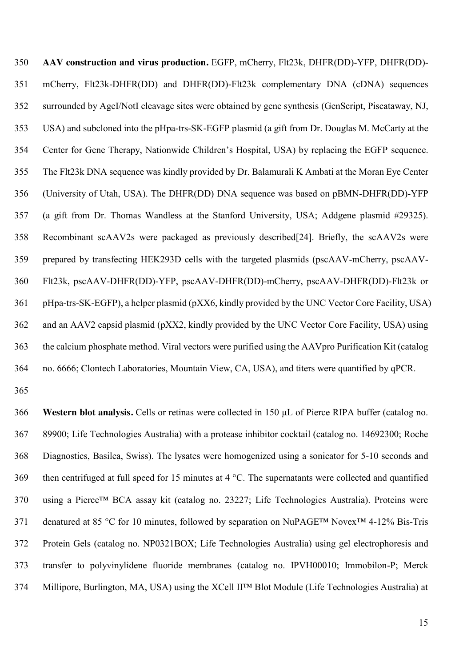**AAV construction and virus production.** EGFP, mCherry, Flt23k, DHFR(DD)-YFP, DHFR(DD)- mCherry, Flt23k-DHFR(DD) and DHFR(DD)-Flt23k complementary DNA (cDNA) sequences surrounded by AgeI/NotI cleavage sites were obtained by gene synthesis (GenScript, Piscataway, NJ, USA) and subcloned into the pHpa-trs-SK-EGFP plasmid (a gift from Dr. Douglas M. McCarty at the Center for Gene Therapy, Nationwide Children's Hospital, USA) by replacing the EGFP sequence. The Flt23k DNA sequence was kindly provided by Dr. Balamurali K Ambati at the Moran Eye Center (University of Utah, USA). The DHFR(DD) DNA sequence was based on pBMN-DHFR(DD)-YFP (a gift from Dr. Thomas Wandless at the Stanford University, USA; Addgene plasmid #29325). Recombinant scAAV2s were packaged as previously described[24]. Briefly, the scAAV2s were prepared by transfecting HEK293D cells with the targeted plasmids (pscAAV-mCherry, pscAAV- Flt23k, pscAAV-DHFR(DD)-YFP, pscAAV-DHFR(DD)-mCherry, pscAAV-DHFR(DD)-Flt23k or pHpa-trs-SK-EGFP), a helper plasmid (pXX6, kindly provided by the UNC Vector Core Facility, USA) and an AAV2 capsid plasmid (pXX2, kindly provided by the UNC Vector Core Facility, USA) using the calcium phosphate method. Viral vectors were purified using the AAVpro Purification Kit (catalog no. 6666; Clontech Laboratories, Mountain View, CA, USA), and titers were quantified by qPCR.

 **Western blot analysis.** Cells or retinas were collected in 150 μL of Pierce RIPA buffer (catalog no. 89900; Life Technologies Australia) with a protease inhibitor cocktail (catalog no. 14692300; Roche Diagnostics, Basilea, Swiss). The lysates were homogenized using a sonicator for 5-10 seconds and then centrifuged at full speed for 15 minutes at 4 °C. The supernatants were collected and quantified using a Pierce™ BCA assay kit (catalog no. 23227; Life Technologies Australia). Proteins were denatured at 85 °C for 10 minutes, followed by separation on NuPAGE™ Novex™ 4-12% Bis-Tris Protein Gels (catalog no. NP0321BOX; Life Technologies Australia) using gel electrophoresis and transfer to polyvinylidene fluoride membranes (catalog no. IPVH00010; Immobilon-P; Merck Millipore, Burlington, MA, USA) using the XCell II™ Blot Module (Life Technologies Australia) at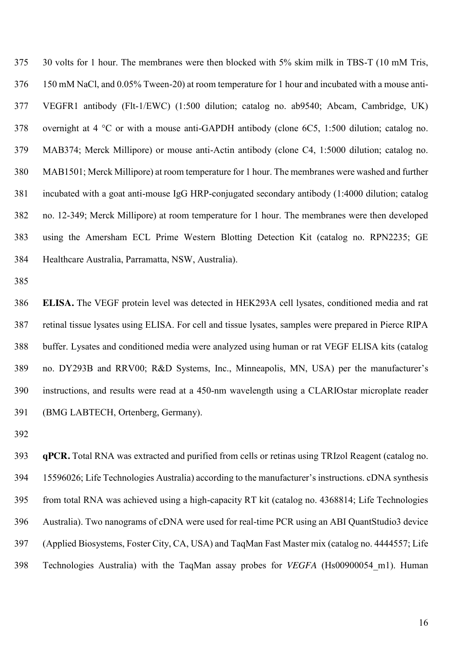30 volts for 1 hour. The membranes were then blocked with 5% skim milk in TBS-T (10 mM Tris, 150 mM NaCl, and 0.05% Tween-20) at room temperature for 1 hour and incubated with a mouse anti- VEGFR1 antibody (Flt-1/EWC) (1:500 dilution; catalog no. ab9540; Abcam, Cambridge, UK) overnight at 4 °C or with a mouse anti-GAPDH antibody (clone 6C5, 1:500 dilution; catalog no. MAB374; Merck Millipore) or mouse anti-Actin antibody (clone C4, 1:5000 dilution; catalog no. MAB1501; Merck Millipore) at room temperature for 1 hour. The membranes were washed and further incubated with a goat anti-mouse IgG HRP-conjugated secondary antibody (1:4000 dilution; catalog no. 12-349; Merck Millipore) at room temperature for 1 hour. The membranes were then developed using the Amersham ECL Prime Western Blotting Detection Kit (catalog no. RPN2235; GE Healthcare Australia, Parramatta, NSW, Australia).

 **ELISA.** The VEGF protein level was detected in HEK293A cell lysates, conditioned media and rat retinal tissue lysates using ELISA. For cell and tissue lysates, samples were prepared in Pierce RIPA buffer. Lysates and conditioned media were analyzed using human or rat VEGF ELISA kits (catalog no. DY293B and RRV00; R&D Systems, Inc., Minneapolis, MN, USA) per the manufacturer's instructions, and results were read at a 450-nm wavelength using a CLARIOstar microplate reader (BMG LABTECH, Ortenberg, Germany).

 **qPCR.** Total RNA was extracted and purified from cells or retinas using TRIzol Reagent (catalog no. 15596026; Life Technologies Australia) according to the manufacturer's instructions. cDNA synthesis from total RNA was achieved using a high-capacity RT kit (catalog no. 4368814; Life Technologies Australia). Two nanograms of cDNA were used for real-time PCR using an ABI QuantStudio3 device (Applied Biosystems, Foster City, CA, USA) and TaqMan Fast Master mix (catalog no. 4444557; Life Technologies Australia) with the TaqMan assay probes for *VEGFA* (Hs00900054\_m1). Human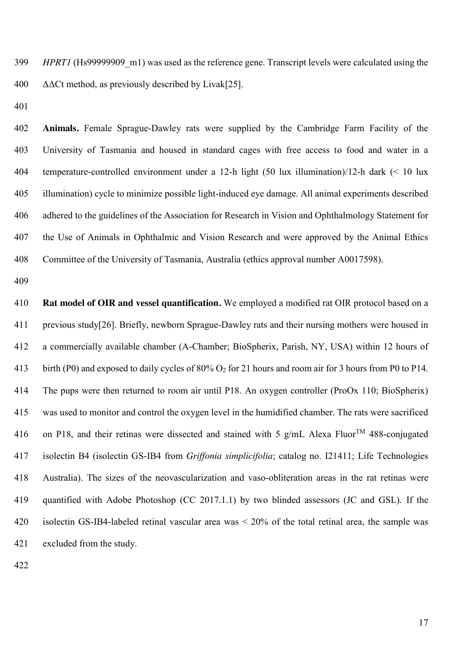*HPRT1* (Hs99999909 m1) was used as the reference gene. Transcript levels were calculated using the 400  $\Delta\Delta$ Ct method, as previously described by Livak[25].

 **Animals.** Female Sprague-Dawley rats were supplied by the Cambridge Farm Facility of the University of Tasmania and housed in standard cages with free access to food and water in a temperature-controlled environment under a 12-h light (50 lux illumination)/12-h dark (< 10 lux illumination) cycle to minimize possible light-induced eye damage. All animal experiments described adhered to the guidelines of the Association for Research in Vision and Ophthalmology Statement for the Use of Animals in Ophthalmic and Vision Research and were approved by the Animal Ethics Committee of the University of Tasmania, Australia (ethics approval number A0017598).

 **Rat model of OIR and vessel quantification.** We employed a modified rat OIR protocol based on a previous study[26]. Briefly, newborn Sprague-Dawley rats and their nursing mothers were housed in a commercially available chamber (A-Chamber; BioSpherix, Parish, NY, USA) within 12 hours of birth (P0) and exposed to daily cycles of 80% O2 for 21 hours and room air for 3 hours from P0 to P14. The pups were then returned to room air until P18. An oxygen controller (ProOx 110; BioSpherix) was used to monitor and control the oxygen level in the humidified chamber. The rats were sacrificed 416 on P18, and their retinas were dissected and stained with 5 g/mL Alexa Fluor<sup>TM</sup> 488-conjugated isolectin B4 (isolectin GS-IB4 from *Griffonia simplicifolia*; catalog no. I21411; Life Technologies Australia). The sizes of the neovascularization and vaso-obliteration areas in the rat retinas were quantified with Adobe Photoshop (CC 2017.1.1) by two blinded assessors (JC and GSL). If the isolectin GS-IB4-labeled retinal vascular area was < 20% of the total retinal area, the sample was excluded from the study.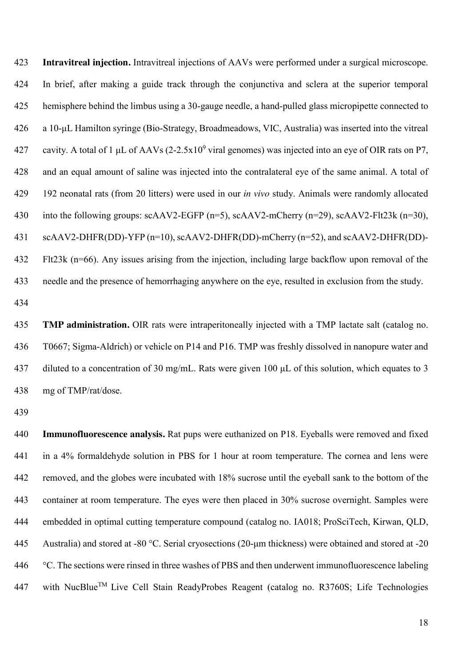**Intravitreal injection.** Intravitreal injections of AAVs were performed under a surgical microscope. In brief, after making a guide track through the conjunctiva and sclera at the superior temporal hemisphere behind the limbus using a 30-gauge needle, a hand-pulled glass micropipette connected to a 10-μL Hamilton syringe (Bio-Strategy, Broadmeadows, VIC, Australia) was inserted into the vitreal 427 cavity. A total of 1  $\mu$ L of AAVs (2-2.5x10<sup>9</sup> viral genomes) was injected into an eye of OIR rats on P7, and an equal amount of saline was injected into the contralateral eye of the same animal. A total of 192 neonatal rats (from 20 litters) were used in our *in vivo* study. Animals were randomly allocated 430 into the following groups: scAAV2-EGFP (n=5), scAAV2-mCherry (n=29), scAAV2-Flt23k (n=30), scAAV2-DHFR(DD)-YFP (n=10), scAAV2-DHFR(DD)-mCherry (n=52), and scAAV2-DHFR(DD)- Flt23k (n=66). Any issues arising from the injection, including large backflow upon removal of the needle and the presence of hemorrhaging anywhere on the eye, resulted in exclusion from the study.

 **TMP administration.** OIR rats were intraperitoneally injected with a TMP lactate salt (catalog no. T0667; Sigma-Aldrich) or vehicle on P14 and P16. TMP was freshly dissolved in nanopure water and diluted to a concentration of 30 mg/mL. Rats were given 100 μL of this solution, which equates to 3 mg of TMP/rat/dose.

 **Immunofluorescence analysis.** Rat pups were euthanized on P18. Eyeballs were removed and fixed in a 4% formaldehyde solution in PBS for 1 hour at room temperature. The cornea and lens were removed, and the globes were incubated with 18% sucrose until the eyeball sank to the bottom of the container at room temperature. The eyes were then placed in 30% sucrose overnight. Samples were embedded in optimal cutting temperature compound (catalog no. IA018; ProSciTech, Kirwan, QLD, Australia) and stored at -80 °C. Serial cryosections (20-μm thickness) were obtained and stored at -20 °C. The sections were rinsed in three washes of PBS and then underwent immunofluorescence labeling 447 with NucBlue<sup>TM</sup> Live Cell Stain ReadyProbes Reagent (catalog no. R3760S; Life Technologies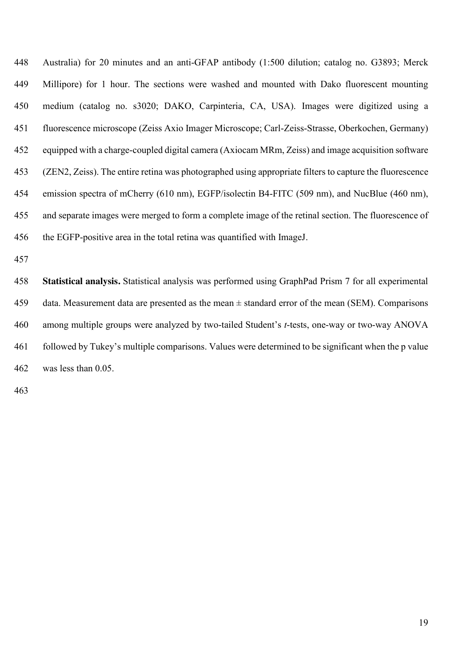Australia) for 20 minutes and an anti-GFAP antibody (1:500 dilution; catalog no. G3893; Merck Millipore) for 1 hour. The sections were washed and mounted with Dako fluorescent mounting medium (catalog no. s3020; DAKO, Carpinteria, CA, USA). Images were digitized using a fluorescence microscope (Zeiss Axio Imager Microscope; Carl-Zeiss-Strasse, Oberkochen, Germany) equipped with a charge-coupled digital camera (Axiocam MRm, Zeiss) and image acquisition software (ZEN2, Zeiss). The entire retina was photographed using appropriate filters to capture the fluorescence emission spectra of mCherry (610 nm), EGFP/isolectin B4-FITC (509 nm), and NucBlue (460 nm), and separate images were merged to form a complete image of the retinal section. The fluorescence of the EGFP-positive area in the total retina was quantified with ImageJ.

 **Statistical analysis.** Statistical analysis was performed using GraphPad Prism 7 for all experimental data. Measurement data are presented as the mean ± standard error of the mean (SEM). Comparisons among multiple groups were analyzed by two-tailed Student's *t*-tests, one-way or two-way ANOVA followed by Tukey's multiple comparisons. Values were determined to be significant when the p value was less than 0.05.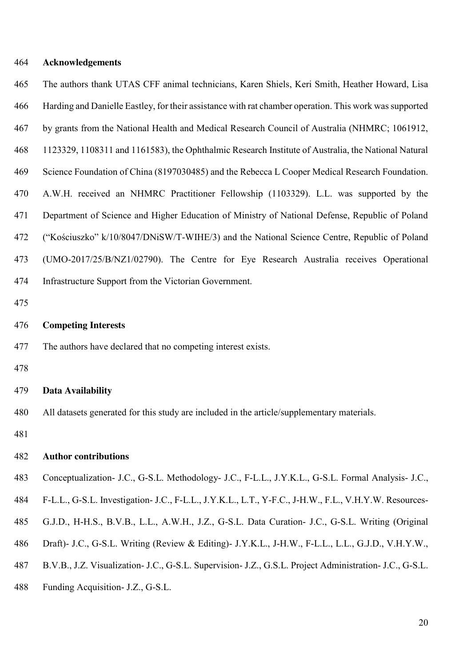## **Acknowledgements**

| 465 | The authors thank UTAS CFF animal technicians, Karen Shiels, Keri Smith, Heather Howard, Lisa           |
|-----|---------------------------------------------------------------------------------------------------------|
| 466 | Harding and Danielle Eastley, for their assistance with rat chamber operation. This work was supported  |
| 467 | by grants from the National Health and Medical Research Council of Australia (NHMRC; 1061912,           |
| 468 | 1123329, 1108311 and 1161583), the Ophthalmic Research Institute of Australia, the National Natural     |
| 469 | Science Foundation of China (8197030485) and the Rebecca L Cooper Medical Research Foundation.          |
| 470 | A.W.H. received an NHMRC Practitioner Fellowship (1103329). L.L. was supported by the                   |
| 471 | Department of Science and Higher Education of Ministry of National Defense, Republic of Poland          |
| 472 | ("Kościuszko" k/10/8047/DNiSW/T-WIHE/3) and the National Science Centre, Republic of Poland             |
| 473 | (UMO-2017/25/B/NZ1/02790). The Centre for Eye Research Australia receives Operational                   |
| 474 | Infrastructure Support from the Victorian Government.                                                   |
| 475 |                                                                                                         |
| 476 | <b>Competing Interests</b>                                                                              |
| 477 | The authors have declared that no competing interest exists.                                            |
| 478 |                                                                                                         |
| 479 | <b>Data Availability</b>                                                                                |
| 480 | All datasets generated for this study are included in the article/supplementary materials.              |
| 481 |                                                                                                         |
| 482 | <b>Author contributions</b>                                                                             |
| 483 | Conceptualization- J.C., G-S.L. Methodology- J.C., F-L.L., J.Y.K.L., G-S.L. Formal Analysis- J.C.,      |
| 484 | F-L.L., G-S.L. Investigation- J.C., F-L.L., J.Y.K.L., L.T., Y-F.C., J-H.W., F.L., V.H.Y.W. Resources-   |
| 485 | G.J.D., H-H.S., B.V.B., L.L., A.W.H., J.Z., G-S.L. Data Curation- J.C., G-S.L. Writing (Original        |
| 486 | Draft)- J.C., G-S.L. Writing (Review & Editing)- J.Y.K.L., J-H.W., F-L.L., L.L., G.J.D., V.H.Y.W.,      |
| 487 | B.V.B., J.Z. Visualization- J.C., G-S.L. Supervision- J.Z., G.S.L. Project Administration- J.C., G-S.L. |
| 488 | Funding Acquisition- J.Z., G-S.L.                                                                       |
|     |                                                                                                         |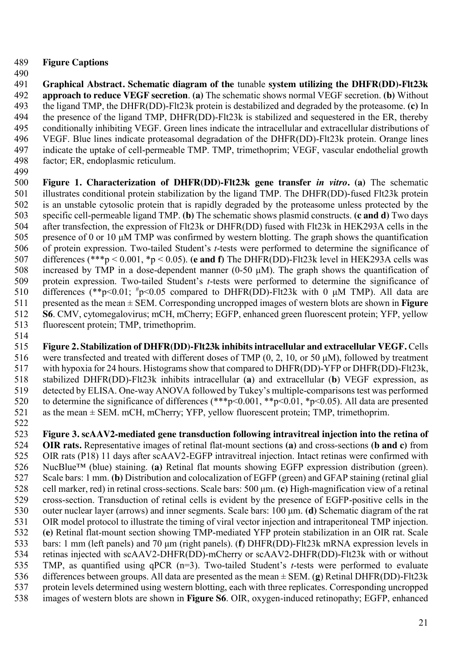- **Figure Captions**
- 490<br>491

 **Graphical Abstract. Schematic diagram of the** tunable **system utilizing the DHFR(DD)-Flt23k approach to reduce VEGF secretion**. **(a)** The schematic shows normal VEGF secretion. **(b)** Without the ligand TMP, the DHFR(DD)-Flt23k protein is destabilized and degraded by the proteasome. **(c)** In 494 the presence of the ligand TMP, DHFR(DD)-Flt23k is stabilized and sequestered in the ER, thereby<br>495 conditionally inhibiting VEGF. Green lines indicate the intracellular and extracellular distributions of 495 conditionally inhibiting VEGF. Green lines indicate the intracellular and extracellular distributions of VEGF. Blue lines indicate proteasomal degradation of the DHFR(DD)-Flt23k protein. Orange lines VEGF. Blue lines indicate proteasomal degradation of the DHFR(DD)-Flt23k protein. Orange lines indicate the uptake of cell-permeable TMP. TMP, trimethoprim; VEGF, vascular endothelial growth factor; ER, endoplasmic reticulum.

 **Figure 1. Characterization of DHFR(DD)-Flt23k gene transfer** *in vitro***. (a)** The schematic illustrates conditional protein stabilization by the ligand TMP. The DHFR(DD)-fused Flt23k protein is an unstable cytosolic protein that is rapidly degraded by the proteasome unless protected by the specific cell-permeable ligand TMP. **(b)** The schematic shows plasmid constructs. **(c and d)** Two days after transfection, the expression of Flt23k or DHFR(DD) fused with Flt23k in HEK293A cells in the presence of 0 or 10 μM TMP was confirmed by western blotting. The graph shows the quantification 506 of protein expression. Two-tailed Student's *t*-tests were performed to determine the significance of differences  $(**p < 0.001, *p < 0.05)$ . (e and f) The DHFR(DD)-Flt23k level in HEK293A cells was differences (\*\*\*p < 0.001, \*p < 0.05). **(e and f)** The DHFR(DD)-Flt23k level in HEK293A cells was increased by TMP in a dose-dependent manner (0-50 μM). The graph shows the quantification of 509 protein expression. Two-tailed Student's *t*-tests were performed to determine the significance of differences  $(**_{p}<0.01; *_{p}<0.05$  compared to DHFR(DD)-Flt23k with 0 uM TMP). All data are differences (\*\*p<0.01;  $\frac{h}{D}$  =0.05 compared to DHFR(DD)-Flt23k with 0  $\mu$ M TMP). All data are presented as the mean ± SEM. Corresponding uncropped images of western blots are shown in **Figure S6**. CMV, cytomegalovirus; mCH, mCherry; EGFP, enhanced green fluorescent protein; YFP, yellow fluorescent protein; TMP, trimethoprim. fluorescent protein; TMP, trimethoprim. 

- **Figure 2. Stabilization of DHFR(DD)-Flt23k inhibits intracellular and extracellular VEGF.** Cells 516 were transfected and treated with different doses of TMP  $(0, 2, 10, \text{ or } 50 \,\mu\text{M})$ , followed by treatment with hypoxia for 24 hours. Histograms show that compared to DHFR(DD)-YFP or DHFR(DD)-Flt23k, with hypoxia for 24 hours. Histograms show that compared to DHFR(DD)-YFP or DHFR(DD)-Flt23k, stabilized DHFR(DD)-Flt23k inhibits intracellular (**a**) and extracellular (**b**) VEGF expression, as detected by ELISA. One-way ANOVA followed by Tukey's multiple-comparisons test was performed to determine the significance of differences (\*\*\*p<0.001, \*\*p<0.01, \*p<0.05). All data are presented as the mean ± SEM. mCH, mCherry; YFP, yellow fluorescent protein; TMP, trimethoprim.
- **Figure 3. scAAV2-mediated gene transduction following intravitreal injection into the retina of OIR rats.** Representative images of retinal flat-mount sections **(a)** and cross-sections **(b and c)** from OIR rats (P18) 11 days after scAAV2-EGFP intravitreal injection. Intact retinas were confirmed with NucBlue™ (blue) staining. **(a)** Retinal flat mounts showing EGFP expression distribution (green). Scale bars: 1 mm. **(b)** Distribution and colocalization of EGFP (green) and GFAP staining (retinal glial cell marker, red) in retinal cross-sections. Scale bars: 500 μm. **(c)** High-magnification view of a retinal cross-section. Transduction of retinal cells is evident by the presence of EGFP-positive cells in the outer nuclear layer (arrows) and inner segments. Scale bars: 100 μm. **(d)** Schematic diagram of the rat OIR model protocol to illustrate the timing of viral vector injection and intraperitoneal TMP injection. **(e)** Retinal flat-mount section showing TMP-mediated YFP protein stabilization in an OIR rat. Scale bars: 1 mm (left panels) and 70 μm (right panels). (**f**) DHFR(DD)-Flt23k mRNA expression levels in retinas injected with scAAV2-DHFR(DD)-mCherry or scAAV2-DHFR(DD)-Flt23k with or without TMP, as quantified using qPCR (n=3). Two-tailed Student's *t*-tests were performed to evaluate differences between groups. All data are presented as the mean ± SEM. (**g**) Retinal DHFR(DD)-Flt23k protein levels determined using western blotting, each with three replicates. Corresponding uncropped images of western blots are shown in **Figure S6**. OIR, oxygen-induced retinopathy; EGFP, enhanced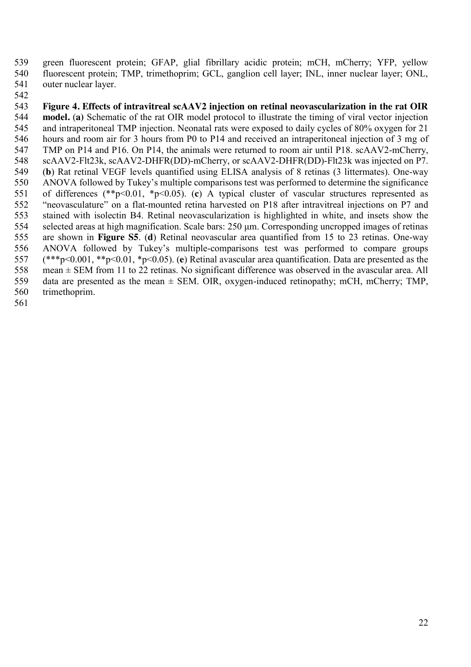green fluorescent protein; GFAP, glial fibrillary acidic protein; mCH, mCherry; YFP, yellow 540 fluorescent protein; TMP, trimethoprim; GCL, ganglion cell layer; INL, inner nuclear layer; ONL, outer nuclear layer. outer nuclear layer.

542<br>543 **Figure 4. Effects of intravitreal scAAV2 injection on retinal neovascularization in the rat OIR model.** (a) Schematic of the rat OIR model protocol to illustrate the timing of viral vector injection and intraperitoneal TMP injection. Neonatal rats were exposed to daily cycles of 80% oxygen for 21 and intraperitoneal TMP injection. Neonatal rats were exposed to daily cycles of 80% oxygen for 21 hours and room air for 3 hours from P0 to P14 and received an intraperitoneal injection of 3 mg of TMP on P14 and P16. On P14, the animals were returned to room air until P18. scAAV2-mCherry, scAAV2-Flt23k, scAAV2-DHFR(DD)-mCherry, or scAAV2-DHFR(DD)-Flt23k was injected on P7. (**b**) Rat retinal VEGF levels quantified using ELISA analysis of 8 retinas (3 littermates). One-way ANOVA followed by Tukey's multiple comparisons test was performed to determine the significance of differences (\*\*p<0.01, \*p<0.05). (**c**) A typical cluster of vascular structures represented as "neovasculature" on a flat-mounted retina harvested on P18 after intravitreal injections on P7 and stained with isolectin B4. Retinal neovascularization is highlighted in white, and insets show the selected areas at high magnification. Scale bars: 250 μm. Corresponding uncropped images of retinas are shown in **Figure S5**. (**d**) Retinal neovascular area quantified from 15 to 23 retinas. One-way ANOVA followed by Tukey's multiple-comparisons test was performed to compare groups (\*\*\*p<0.001, \*\*p<0.01, \*p<0.05). (**e**) Retinal avascular area quantification. Data are presented as the mean ± SEM from 11 to 22 retinas. No significant difference was observed in the avascular area. All 559 data are presented as the mean  $\pm$  SEM. OIR, oxygen-induced retinopathy; mCH, mCherry; TMP, trimethoprim.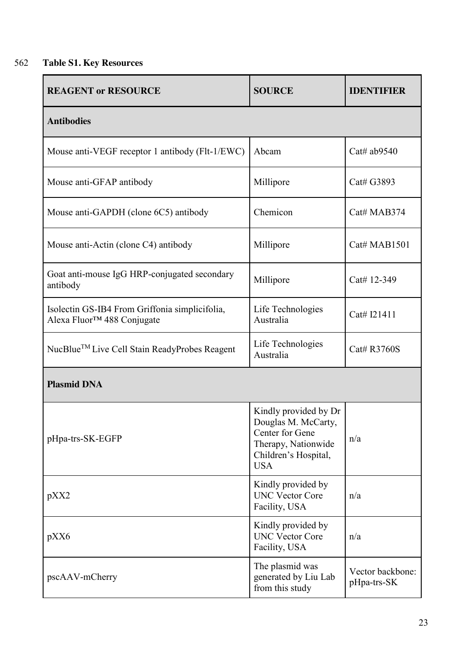## 562 **Table S1. Key Resources**

| <b>REAGENT or RESOURCE</b>                                                               | <b>SOURCE</b>                                                                                                                | <b>IDENTIFIER</b>               |  |
|------------------------------------------------------------------------------------------|------------------------------------------------------------------------------------------------------------------------------|---------------------------------|--|
| <b>Antibodies</b>                                                                        |                                                                                                                              |                                 |  |
| Mouse anti-VEGF receptor 1 antibody (Flt-1/EWC)                                          | Abcam                                                                                                                        | Cat# ab9540                     |  |
| Mouse anti-GFAP antibody                                                                 | Millipore                                                                                                                    | Cat# G3893                      |  |
| Mouse anti-GAPDH (clone 6C5) antibody                                                    | Chemicon                                                                                                                     | Cat# MAB374                     |  |
| Mouse anti-Actin (clone C4) antibody                                                     | Millipore                                                                                                                    | Cat# MAB1501                    |  |
| Goat anti-mouse IgG HRP-conjugated secondary<br>antibody                                 | Millipore                                                                                                                    | Cat# 12-349                     |  |
| Isolectin GS-IB4 From Griffonia simplicifolia,<br>Alexa Fluor <sup>™</sup> 488 Conjugate | Life Technologies<br>Australia                                                                                               | Cat# I21411                     |  |
| NucBlue™ Live Cell Stain ReadyProbes Reagent                                             | Life Technologies<br>Australia                                                                                               | Cat# R3760S                     |  |
| <b>Plasmid DNA</b>                                                                       |                                                                                                                              |                                 |  |
| pHpa-trs-SK-EGFP                                                                         | Kindly provided by Dr<br>Douglas M. McCarty,<br>Center for Gene<br>Therapy, Nationwide<br>Children's Hospital,<br><b>USA</b> | n/a                             |  |
| pXX2                                                                                     | Kindly provided by<br><b>UNC Vector Core</b><br>Facility, USA                                                                | n/a                             |  |
| pXX6                                                                                     | Kindly provided by<br><b>UNC Vector Core</b><br>Facility, USA                                                                | n/a                             |  |
| pscAAV-mCherry                                                                           | The plasmid was<br>generated by Liu Lab<br>from this study                                                                   | Vector backbone:<br>pHpa-trs-SK |  |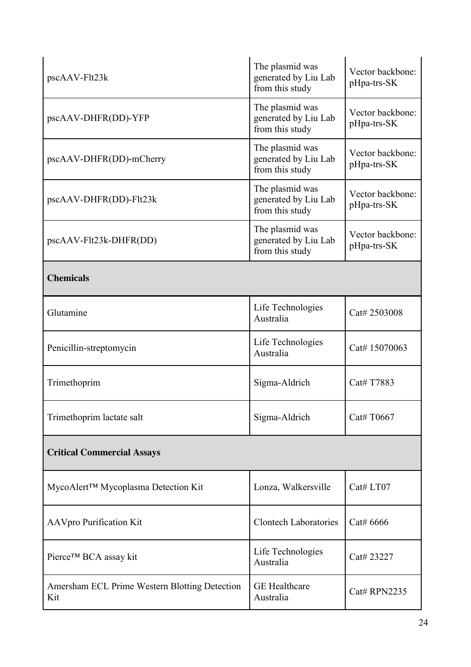| pscAAV-Flt23k                                        | The plasmid was<br>generated by Liu Lab<br>from this study | Vector backbone:<br>pHpa-trs-SK |  |
|------------------------------------------------------|------------------------------------------------------------|---------------------------------|--|
| pscAAV-DHFR(DD)-YFP                                  | The plasmid was<br>generated by Liu Lab<br>from this study | Vector backbone:<br>pHpa-trs-SK |  |
| pscAAV-DHFR(DD)-mCherry                              | The plasmid was<br>generated by Liu Lab<br>from this study | Vector backbone:<br>pHpa-trs-SK |  |
| pscAAV-DHFR(DD)-Flt23k                               | The plasmid was<br>generated by Liu Lab<br>from this study | Vector backbone:<br>pHpa-trs-SK |  |
| pscAAV-Flt23k-DHFR(DD)                               | The plasmid was<br>generated by Liu Lab<br>from this study | Vector backbone:<br>pHpa-trs-SK |  |
| <b>Chemicals</b>                                     |                                                            |                                 |  |
| Glutamine                                            | Life Technologies<br>Australia                             | Cat# 2503008                    |  |
| Penicillin-streptomycin                              | Life Technologies<br>Australia                             | Cat# 15070063                   |  |
| Trimethoprim                                         | Sigma-Aldrich                                              | Cat# T7883                      |  |
| Trimethoprim lactate salt                            | Sigma-Aldrich                                              | Cat# T0667                      |  |
| <b>Critical Commercial Assays</b>                    |                                                            |                                 |  |
| MycoAlert™ Mycoplasma Detection Kit                  | Lonza, Walkersville                                        | Cat# LT07                       |  |
| <b>AAVpro Purification Kit</b>                       | <b>Clontech Laboratories</b>                               | Cat# 6666                       |  |
| Pierce™ BCA assay kit                                | Life Technologies<br>Australia                             | Cat# 23227                      |  |
| Amersham ECL Prime Western Blotting Detection<br>Kit | <b>GE</b> Healthcare<br>Australia                          | <b>Cat# RPN2235</b>             |  |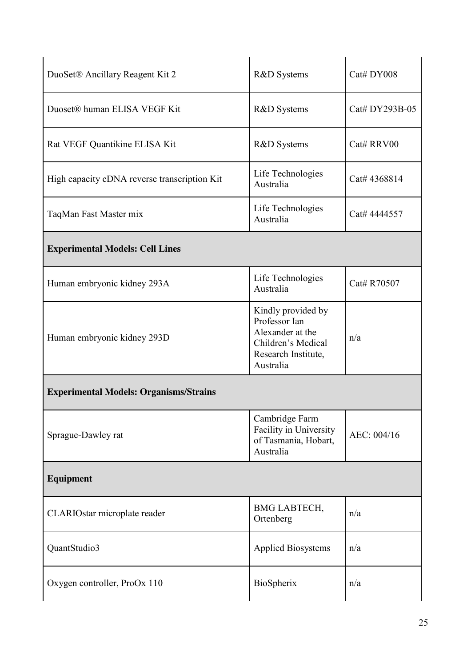| DuoSet® Ancillary Reagent Kit 2               | R&D Systems                                                                                                       | Cat# DY008     |  |
|-----------------------------------------------|-------------------------------------------------------------------------------------------------------------------|----------------|--|
| Duoset® human ELISA VEGF Kit                  | <b>R&amp;D</b> Systems                                                                                            | Cat# DY293B-05 |  |
| Rat VEGF Quantikine ELISA Kit                 | <b>R&amp;D</b> Systems                                                                                            | Cat# RRV00     |  |
| High capacity cDNA reverse transcription Kit  | Life Technologies<br>Australia                                                                                    | Cat# 4368814   |  |
| TaqMan Fast Master mix                        | Life Technologies<br>Australia                                                                                    | Cat# 4444557   |  |
| <b>Experimental Models: Cell Lines</b>        |                                                                                                                   |                |  |
| Human embryonic kidney 293A                   | Life Technologies<br>Australia                                                                                    | Cat# R70507    |  |
| Human embryonic kidney 293D                   | Kindly provided by<br>Professor Ian<br>Alexander at the<br>Children's Medical<br>Research Institute,<br>Australia | n/a            |  |
| <b>Experimental Models: Organisms/Strains</b> |                                                                                                                   |                |  |
| Sprague-Dawley rat                            | Cambridge Farm<br>Facility in University<br>of Tasmania, Hobart,<br>Australia                                     | AEC: 004/16    |  |
| Equipment                                     |                                                                                                                   |                |  |
| CLARIOstar microplate reader                  | <b>BMG LABTECH,</b><br>Ortenberg                                                                                  | n/a            |  |
| QuantStudio3                                  | <b>Applied Biosystems</b>                                                                                         | n/a            |  |
| Oxygen controller, ProOx 110                  | BioSpherix                                                                                                        | n/a            |  |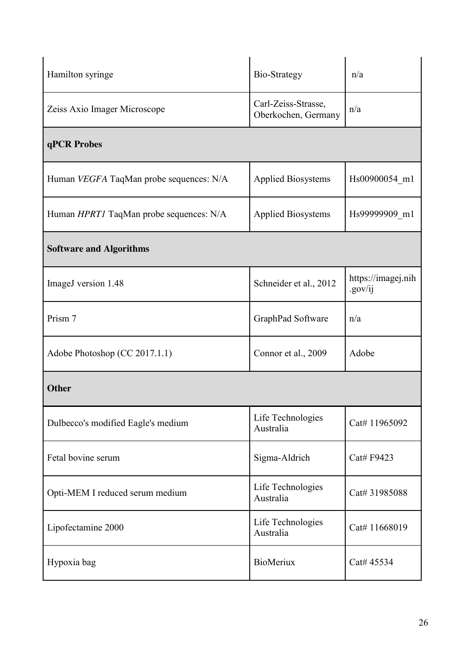| Hamilton syringe                               | Bio-Strategy                               | n/a                           |  |
|------------------------------------------------|--------------------------------------------|-------------------------------|--|
| Zeiss Axio Imager Microscope                   | Carl-Zeiss-Strasse,<br>Oberkochen, Germany | n/a                           |  |
| qPCR Probes                                    |                                            |                               |  |
| Human <i>VEGFA</i> TaqMan probe sequences: N/A | <b>Applied Biosystems</b>                  | Hs00900054 m1                 |  |
| Human <i>HPRT1</i> TaqMan probe sequences: N/A | <b>Applied Biosystems</b>                  | Hs99999909 m1                 |  |
| <b>Software and Algorithms</b>                 |                                            |                               |  |
| ImageJ version 1.48                            | Schneider et al., 2012                     | https://imagej.nih<br>.gov/ij |  |
| Prism 7                                        | GraphPad Software                          | n/a                           |  |
| Adobe Photoshop (CC 2017.1.1)                  | Connor et al., 2009                        | Adobe                         |  |
| <b>Other</b>                                   |                                            |                               |  |
| Dulbecco's modified Eagle's medium             | Life Technologies<br>Australia             | Cat# 11965092                 |  |
| Fetal bovine serum                             | Sigma-Aldrich                              | Cat# F9423                    |  |
| Opti-MEM I reduced serum medium                | Life Technologies<br>Australia             | Cat# 31985088                 |  |
| Lipofectamine 2000                             | Life Technologies<br>Australia             | Cat# 11668019                 |  |
| Hypoxia bag                                    | <b>BioMeriux</b>                           | Cat# 45534                    |  |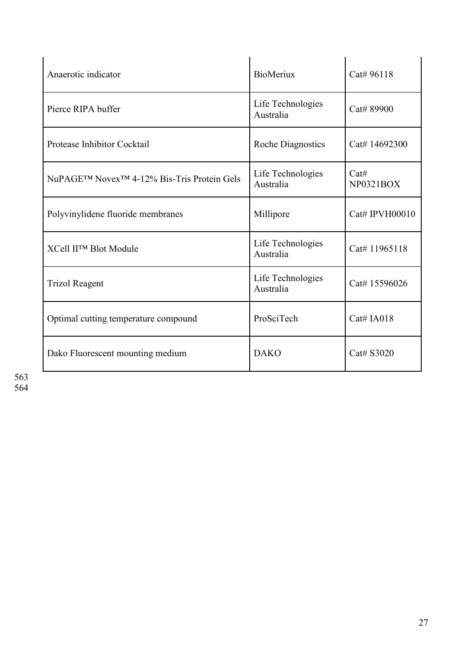| Anaerotic indicator                                    | <b>BioMeriux</b>               | Cat# 96118        |
|--------------------------------------------------------|--------------------------------|-------------------|
| Pierce RIPA buffer                                     | Life Technologies<br>Australia | Cat# 89900        |
| Protease Inhibitor Cocktail                            | <b>Roche Diagnostics</b>       | Cat# 14692300     |
| NuPAGE™ Novex <sup>™</sup> 4-12% Bis-Tris Protein Gels | Life Technologies<br>Australia | Cat#<br>NP0321BOX |
| Polyvinylidene fluoride membranes                      | Millipore                      | Cat# IPVH00010    |
| XCell II™ Blot Module                                  | Life Technologies<br>Australia | Cat# 11965118     |
| <b>Trizol Reagent</b>                                  | Life Technologies<br>Australia | Cat# 15596026     |
| Optimal cutting temperature compound                   | ProSciTech                     | Cat# IA018        |
| Dako Fluorescent mounting medium                       | <b>DAKO</b>                    | Cat# S3020        |

563 564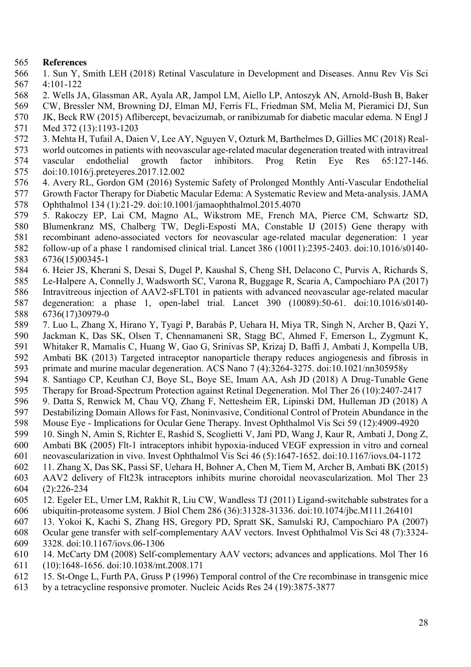### **References**

- 1. Sun Y, Smith LEH (2018) Retinal Vasculature in Development and Diseases. Annu Rev Vis Sci 4:101-122
- 2. Wells JA, Glassman AR, Ayala AR, Jampol LM, Aiello LP, Antoszyk AN, Arnold-Bush B, Baker
- 569 CW, Bressler NM, Browning DJ, Elman MJ, Ferris FL, Friedman SM, Melia M, Pieramici DJ, Sun JK, Beck RW (2015) Aflibercept, bevacizumab, or ranibizumab for diabetic macular edema. N Engl J
- JK, Beck RW (2015) Aflibercept, bevacizumab, or ranibizumab for diabetic macular edema. N Engl J Med 372 (13):1193-1203
- 3. Mehta H, Tufail A, Daien V, Lee AY, Nguyen V, Ozturk M, Barthelmes D, Gillies MC (2018) Real-
- world outcomes in patients with neovascular age-related macular degeneration treated with intravitreal vascular endothelial growth factor inhibitors. Prog Retin Eye Res 65:127-146. doi:10.1016/j.preteyeres.2017.12.002
- 4. Avery RL, Gordon GM (2016) Systemic Safety of Prolonged Monthly Anti-Vascular Endothelial Growth Factor Therapy for Diabetic Macular Edema: A Systematic Review and Meta-analysis. JAMA Ophthalmol 134 (1):21-29. doi:10.1001/jamaophthalmol.2015.4070
- 5. Rakoczy EP, Lai CM, Magno AL, Wikstrom ME, French MA, Pierce CM, Schwartz SD,
- Blumenkranz MS, Chalberg TW, Degli-Esposti MA, Constable IJ (2015) Gene therapy with
- recombinant adeno-associated vectors for neovascular age-related macular degeneration: 1 year
- follow-up of a phase 1 randomised clinical trial. Lancet 386 (10011):2395-2403. doi:10.1016/s0140- 6736(15)00345-1
- 6. Heier JS, Kherani S, Desai S, Dugel P, Kaushal S, Cheng SH, Delacono C, Purvis A, Richards S,
- Le-Halpere A, Connelly J, Wadsworth SC, Varona R, Buggage R, Scaria A, Campochiaro PA (2017)
- Intravitreous injection of AAV2-sFLT01 in patients with advanced neovascular age-related macular
- degeneration: a phase 1, open-label trial. Lancet 390 (10089):50-61. doi:10.1016/s0140- 6736(17)30979-0
- 7. Luo L, Zhang X, Hirano Y, Tyagi P, Barabás P, Uehara H, Miya TR, Singh N, Archer B, Qazi Y,
- Jackman K, Das SK, Olsen T, Chennamaneni SR, Stagg BC, Ahmed F, Emerson L, Zygmunt K,
- Whitaker R, Mamalis C, Huang W, Gao G, Srinivas SP, Krizaj D, Baffi J, Ambati J, Kompella UB,
- 592 Ambati BK (2013) Targeted intraceptor nanoparticle therapy reduces angiogenesis and fibrosis in primate and murine macular degeneration. ACS Nano 7 (4):3264-3275. doi:10.1021/nn305958y
- primate and murine macular degeneration. ACS Nano 7 (4):3264-3275. doi:10.1021/nn305958y 8. Santiago CP, Keuthan CJ, Boye SL, Boye SE, Imam AA, Ash JD (2018) A Drug-Tunable Gene
- Therapy for Broad-Spectrum Protection against Retinal Degeneration. Mol Ther 26 (10):2407-2417
- 9. Datta S, Renwick M, Chau VQ, Zhang F, Nettesheim ER, Lipinski DM, Hulleman JD (2018) A
- Destabilizing Domain Allows for Fast, Noninvasive, Conditional Control of Protein Abundance in the
- Mouse Eye Implications for Ocular Gene Therapy. Invest Ophthalmol Vis Sci 59 (12):4909-4920 10. Singh N, Amin S, Richter E, Rashid S, Scoglietti V, Jani PD, Wang J, Kaur R, Ambati J, Dong Z,
- Ambati BK (2005) Flt-1 intraceptors inhibit hypoxia-induced VEGF expression in vitro and corneal
- neovascularization in vivo. Invest Ophthalmol Vis Sci 46 (5):1647-1652. doi:10.1167/iovs.04-1172
- 11. Zhang X, Das SK, Passi SF, Uehara H, Bohner A, Chen M, Tiem M, Archer B, Ambati BK (2015)
- AAV2 delivery of Flt23k intraceptors inhibits murine choroidal neovascularization. Mol Ther 23 (2):226-234
- 12. Egeler EL, Urner LM, Rakhit R, Liu CW, Wandless TJ (2011) Ligand-switchable substrates for a ubiquitin-proteasome system. J Biol Chem 286 (36):31328-31336. doi:10.1074/jbc.M111.264101
- 13. Yokoi K, Kachi S, Zhang HS, Gregory PD, Spratt SK, Samulski RJ, Campochiaro PA (2007)
- Ocular gene transfer with self-complementary AAV vectors. Invest Ophthalmol Vis Sci 48 (7):3324-
- 3328. doi:10.1167/iovs.06-1306
- 14. McCarty DM (2008) Self-complementary AAV vectors; advances and applications. Mol Ther 16
- (10):1648-1656. doi:10.1038/mt.2008.171
- 15. St-Onge L, Furth PA, Gruss P (1996) Temporal control of the Cre recombinase in transgenic mice
- by a tetracycline responsive promoter. Nucleic Acids Res 24 (19):3875-3877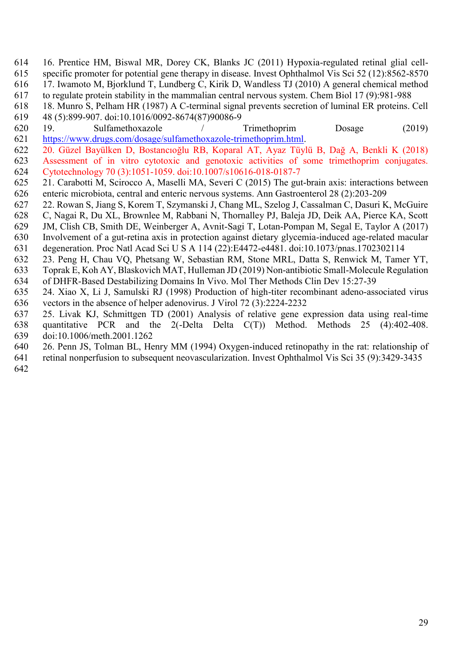- 16. Prentice HM, Biswal MR, Dorey CK, Blanks JC (2011) Hypoxia-regulated retinal glial cell-615 specific promoter for potential gene therapy in disease. Invest Ophthalmol Vis Sci 52 (12):8562-8570<br>616 17. Iwamoto M. Bjorklund T. Lundberg C. Kirik D. Wandless TJ (2010) A general chemical method 17. Iwamoto M, Bjorklund T, Lundberg C, Kirik D, Wandless TJ (2010) A general chemical method
- to regulate protein stability in the mammalian central nervous system. Chem Biol 17 (9):981-988
- 18. Munro S, Pelham HR (1987) A C-terminal signal prevents secretion of luminal ER proteins. Cell
- 48 (5):899-907. doi:10.1016/0092-8674(87)90086-9
- 19. Sulfamethoxazole / Trimethoprim Dosage (2019) [https://www.drugs.com/dosage/sulfamethoxazole-trimethoprim.html.](https://www.drugs.com/dosage/sulfamethoxazole-trimethoprim.html)
- 20. Güzel Bayülken D, Bostancıoğlu RB, Koparal AT, Ayaz Tüylü B, Dağ A, Benkli K (2018) Assessment of in vitro cytotoxic and genotoxic activities of some trimethoprim conjugates. Cytotechnology 70 (3):1051-1059. doi:10.1007/s10616-018-0187-7
- 21. Carabotti M, Scirocco A, Maselli MA, Severi C (2015) The gut-brain axis: interactions between enteric microbiota, central and enteric nervous systems. Ann Gastroenterol 28 (2):203-209
- 22. Rowan S, Jiang S, Korem T, Szymanski J, Chang ML, Szelog J, Cassalman C, Dasuri K, McGuire
- C, Nagai R, Du XL, Brownlee M, Rabbani N, Thornalley PJ, Baleja JD, Deik AA, Pierce KA, Scott
- JM, Clish CB, Smith DE, Weinberger A, Avnit-Sagi T, Lotan-Pompan M, Segal E, Taylor A (2017)
- Involvement of a gut-retina axis in protection against dietary glycemia-induced age-related macular
- degeneration. Proc Natl Acad Sci U S A 114 (22):E4472-e4481. doi:10.1073/pnas.1702302114
- 23. Peng H, Chau VQ, Phetsang W, Sebastian RM, Stone MRL, Datta S, Renwick M, Tamer YT, Toprak E, Koh AY, Blaskovich MAT, Hulleman JD (2019) Non-antibiotic Small-Molecule Regulation of DHFR-Based Destabilizing Domains In Vivo. Mol Ther Methods Clin Dev 15:27-39
- 24. Xiao X, Li J, Samulski RJ (1998) Production of high-titer recombinant adeno-associated virus vectors in the absence of helper adenovirus. J Virol 72 (3):2224-2232
- 25. Livak KJ, Schmittgen TD (2001) Analysis of relative gene expression data using real-time quantitative PCR and the 2(-Delta Delta C(T)) Method. Methods 25 (4):402-408. doi:10.1006/meth.2001.1262
- 26. Penn JS, Tolman BL, Henry MM (1994) Oxygen-induced retinopathy in the rat: relationship of
- retinal nonperfusion to subsequent neovascularization. Invest Ophthalmol Vis Sci 35 (9):3429-3435
-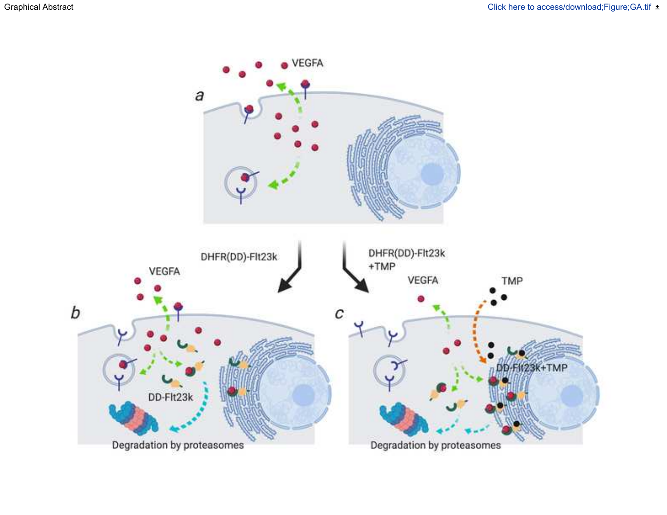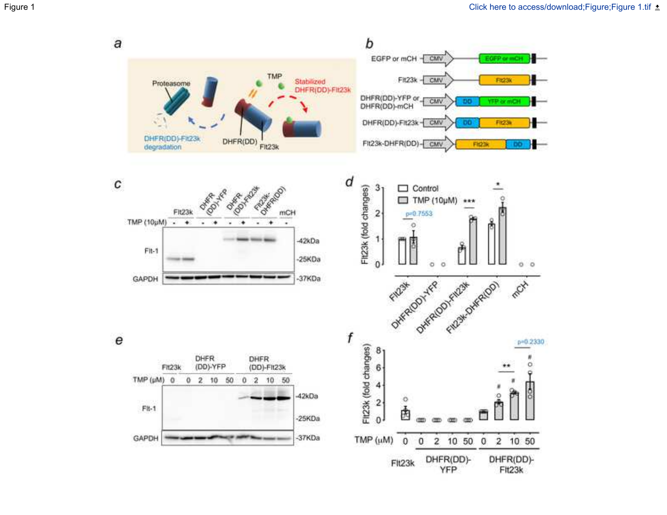b  $\boldsymbol{a}$ EGFP or mCH - CMV EGFP or mCH TMP  $Fit23k - CMV$ Stabilized<br>DHFR(DD)-Fit23k Ft23k Proteasome DHFR(DD)-YFP or CMV YFP or mCH DO. DHFR(DD)-FIt23k-CMV F123k DO DHFR(DD) DHFR(DD)-FII23k FIL23k-DHFR(DD)-CMV **FIG23k** 00 degradation d **POTABLICO** C Re March **OFFER D** 3 Control FIt23k (fold changes) TMP (10µM) Fit23k **mCH**  $\overline{\mathbf{2}}$ p=0.7553 TMP (10µM) - $\ddot{\phantom{1}}$ ۰  $\overline{\phantom{a}}$ ۰ ٠ o 1  $-42kDa$  $F1t-1$  $-25KDa$  $\mathbf 0$ ö ö  $00$ GAPDH -37KDa max. ONTRACODY TELON FILOSY OWNER f  $\boldsymbol{\mathsf{e}}$  $p = 0.2330$ FIL23k (fold changes)  $8<sub>1</sub>$ DHFR **DHFR** (DD)-YFP (DD)-Fit23k Ö Fit23k 6  $TMP(\mu M)$  0 2 10 50  $0, 2, 10, 50$ 0 4 42kDa o  $\mathbf{2}$  $F1t-1$ 庚  $-25KDa$  $0<sup>1</sup>$ TMP (µM) GAPDH -37KDa  $\overline{2}$ 10 50  $\mathbf{0}$  $\overline{\mathbf{2}}$ 10 50 0 0 DHFR(DD)-<br>YFP DHFR(DD)-Flt23k Flt23k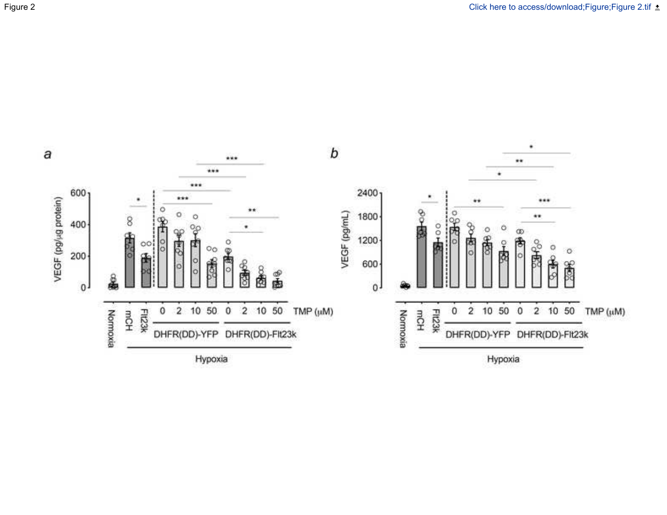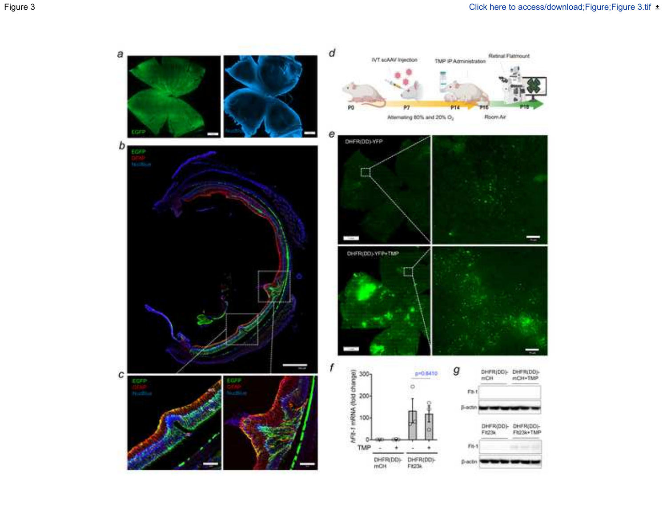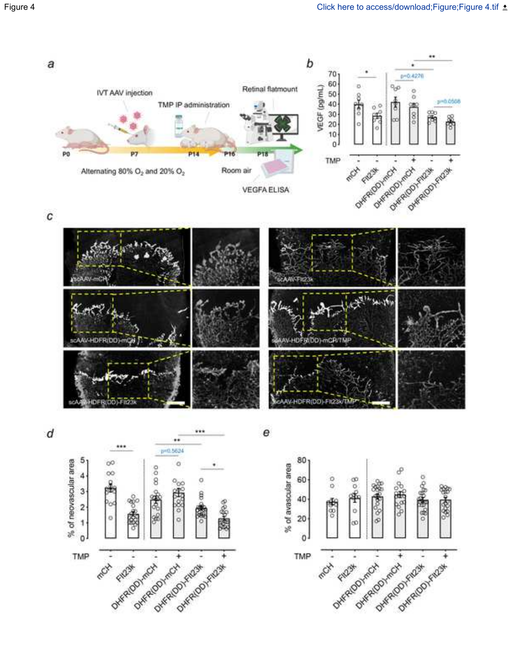